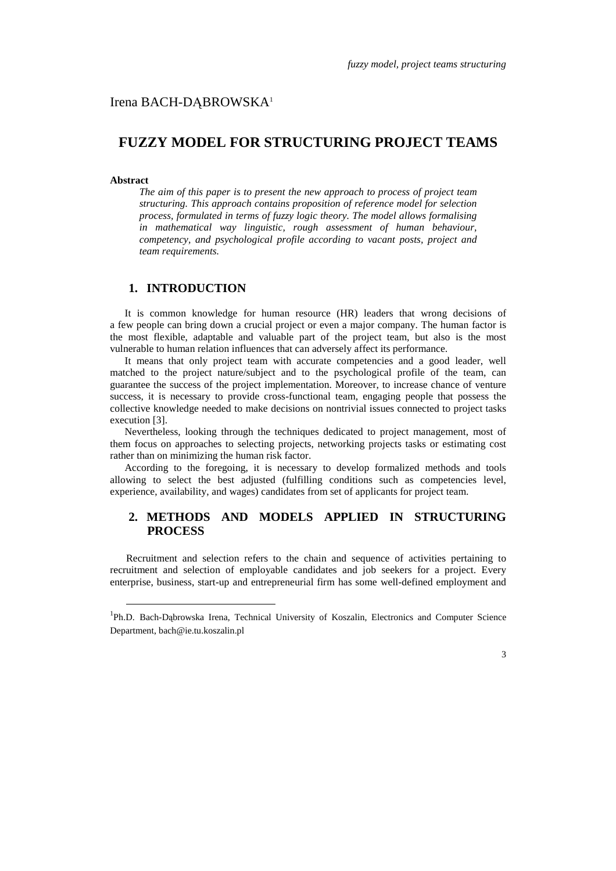# Irena BACH-DĄBROWSKA<sup>1</sup>

# **FUZZY MODEL FOR STRUCTURING PROJECT TEAMS**

### **Abstract**

 $\overline{a}$ 

*The aim of this paper is to present the new approach to process of project team structuring. This approach contains proposition of reference model for selection process, formulated in terms of fuzzy logic theory. The model allows formalising in mathematical way linguistic, rough assessment of human behaviour, competency, and psychological profile according to vacant posts, project and team requirements.* 

# **1. INTRODUCTION**

It is common knowledge for human resource (HR) leaders that wrong decisions of a few people can bring down a crucial project or even a major company. The human factor is the most flexible, adaptable and valuable part of the project team, but also is the most vulnerable to human relation influences that can adversely affect its performance.

It means that only project team with accurate competencies and a good leader, well matched to the project nature/subject and to the psychological profile of the team, can guarantee the success of the project implementation. Moreover, to increase chance of venture success, it is necessary to provide cross-functional team, engaging people that possess the collective knowledge needed to make decisions on nontrivial issues connected to project tasks execution [3].

Nevertheless, looking through the techniques dedicated to project management, most of them focus on approaches to selecting projects, networking projects tasks or estimating cost rather than on minimizing the human risk factor.

According to the foregoing, it is necessary to develop formalized methods and tools allowing to select the best adjusted (fulfilling conditions such as competencies level, experience, availability, and wages) candidates from set of applicants for project team.

# **2. METHODS AND MODELS APPLIED IN STRUCTURING PROCESS**

Recruitment and selection refers to the chain and sequence of activities pertaining to recruitment and selection of employable candidates and job seekers for a project. Every enterprise, business, start-up and entrepreneurial firm has some well-defined employment and

<sup>&</sup>lt;sup>1</sup>Ph.D. Bach-Dąbrowska Irena, Technical University of Koszalin, Electronics and Computer Science Department, bach@ie.tu.koszalin.pl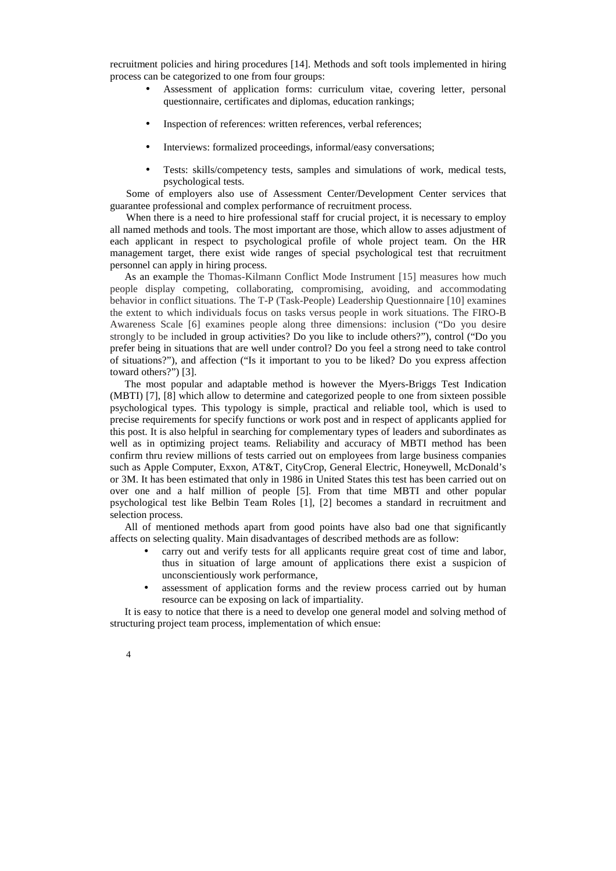recruitment policies and hiring procedures [14]. Methods and soft tools implemented in hiring process can be categorized to one from four groups:

- Assessment of application forms: curriculum vitae, covering letter, personal questionnaire, certificates and diplomas, education rankings;
- Inspection of references: written references, verbal references;
- Interviews: formalized proceedings, informal/easy conversations;
- Tests: skills/competency tests, samples and simulations of work, medical tests, psychological tests.

Some of employers also use of Assessment Center/Development Center services that guarantee professional and complex performance of recruitment process.

When there is a need to hire professional staff for crucial project, it is necessary to employ all named methods and tools. The most important are those, which allow to asses adjustment of each applicant in respect to psychological profile of whole project team. On the HR management target, there exist wide ranges of special psychological test that recruitment personnel can apply in hiring process.

As an example the Thomas-Kilmann Conflict Mode Instrument [15] measures how much people display competing, collaborating, compromising, avoiding, and accommodating behavior in conflict situations. The T-P (Task-People) Leadership Questionnaire [10] examines the extent to which individuals focus on tasks versus people in work situations. The FIRO-B Awareness Scale [6] examines people along three dimensions: inclusion ("Do you desire strongly to be included in group activities? Do you like to include others?"), control ("Do you prefer being in situations that are well under control? Do you feel a strong need to take control of situations?"), and affection ("Is it important to you to be liked? Do you express affection toward others?") [3].

The most popular and adaptable method is however the Myers-Briggs Test Indication (MBTI) [7], [8] which allow to determine and categorized people to one from sixteen possible psychological types. This typology is simple, practical and reliable tool, which is used to precise requirements for specify functions or work post and in respect of applicants applied for this post. It is also helpful in searching for complementary types of leaders and subordinates as well as in optimizing project teams. Reliability and accuracy of MBTI method has been confirm thru review millions of tests carried out on employees from large business companies such as Apple Computer, Exxon, AT&T, CityCrop, General Electric, Honeywell, McDonald's or 3M. It has been estimated that only in 1986 in United States this test has been carried out on over one and a half million of people [5]. From that time MBTI and other popular psychological test like Belbin Team Roles [1], [2] becomes a standard in recruitment and selection process.

All of mentioned methods apart from good points have also bad one that significantly affects on selecting quality. Main disadvantages of described methods are as follow:

- carry out and verify tests for all applicants require great cost of time and labor, thus in situation of large amount of applications there exist a suspicion of unconscientiously work performance,
- assessment of application forms and the review process carried out by human resource can be exposing on lack of impartiality.

It is easy to notice that there is a need to develop one general model and solving method of structuring project team process, implementation of which ensue: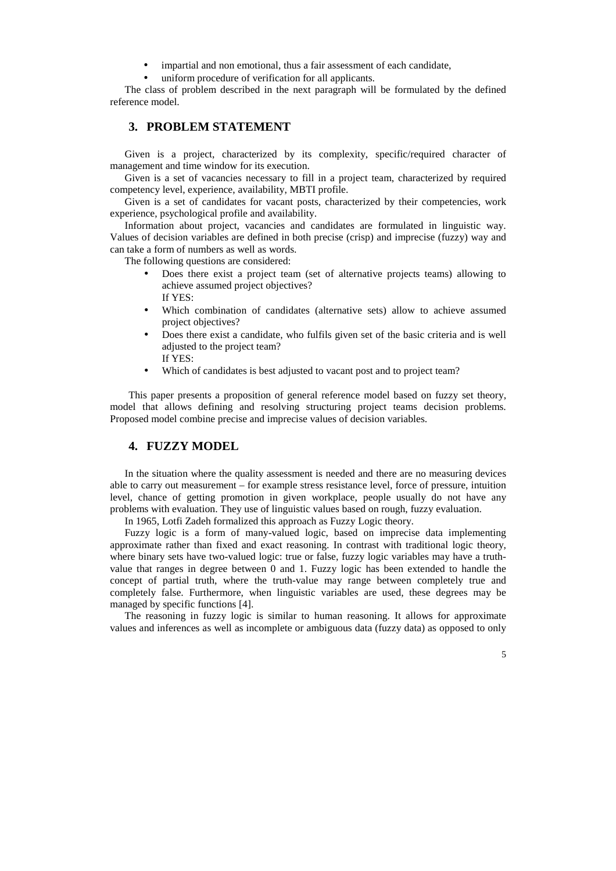- impartial and non emotional, thus a fair assessment of each candidate,
- uniform procedure of verification for all applicants.

The class of problem described in the next paragraph will be formulated by the defined reference model.

### **3. PROBLEM STATEMENT**

Given is a project, characterized by its complexity, specific/required character of management and time window for its execution.

Given is a set of vacancies necessary to fill in a project team, characterized by required competency level, experience, availability, MBTI profile.

Given is a set of candidates for vacant posts, characterized by their competencies, work experience, psychological profile and availability.

Information about project, vacancies and candidates are formulated in linguistic way. Values of decision variables are defined in both precise (crisp) and imprecise (fuzzy) way and can take a form of numbers as well as words.

The following questions are considered:

- Does there exist a project team (set of alternative projects teams) allowing to achieve assumed project objectives? If YES:
- Which combination of candidates (alternative sets) allow to achieve assumed project objectives?
- Does there exist a candidate, who fulfils given set of the basic criteria and is well adjusted to the project team? If YES:
- Which of candidates is best adjusted to vacant post and to project team?

This paper presents a proposition of general reference model based on fuzzy set theory, model that allows defining and resolving structuring project teams decision problems. Proposed model combine precise and imprecise values of decision variables.

# **4. FUZZY MODEL**

In the situation where the quality assessment is needed and there are no measuring devices able to carry out measurement – for example stress resistance level, force of pressure, intuition level, chance of getting promotion in given workplace, people usually do not have any problems with evaluation. They use of linguistic values based on rough, fuzzy evaluation.

In 1965, Lotfi Zadeh formalized this approach as Fuzzy Logic theory.

Fuzzy logic is a form of many-valued logic, based on imprecise data implementing approximate rather than fixed and exact reasoning. In contrast with traditional logic theory, where binary sets have two-valued logic: true or false, fuzzy logic variables may have a truthvalue that ranges in degree between 0 and 1. Fuzzy logic has been extended to handle the concept of partial truth, where the truth-value may range between completely true and completely false. Furthermore, when linguistic variables are used, these degrees may be managed by specific functions [4].

The reasoning in fuzzy logic is similar to human reasoning. It allows for approximate values and inferences as well as incomplete or ambiguous data (fuzzy data) as opposed to only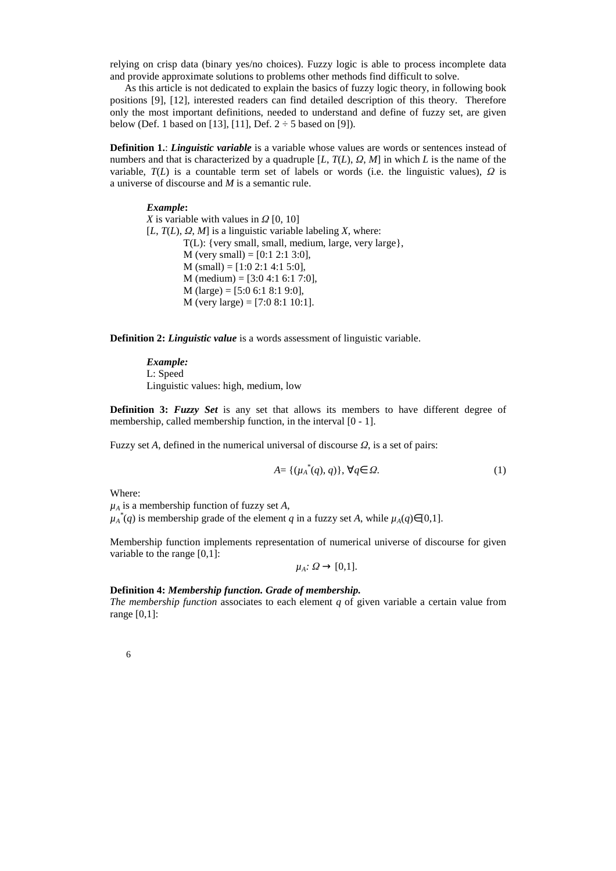relying on crisp data (binary yes/no choices). Fuzzy logic is able to process incomplete data and provide approximate solutions to problems other methods find difficult to solve.

As this article is not dedicated to explain the basics of fuzzy logic theory, in following book positions [9], [12], interested readers can find detailed description of this theory. Therefore only the most important definitions, needed to understand and define of fuzzy set, are given below (Def. 1 based on [13], [11], Def.  $2 \div 5$  based on [9]).

**Definition 1.:** *Linguistic variable* is a variable whose values are words or sentences instead of numbers and that is characterized by a quadruple [*L*, *T*(*L*), *Ω*, *M*] in which *L* is the name of the variable,  $T(L)$  is a countable term set of labels or words (i.e. the linguistic values),  $\Omega$  is a universe of discourse and *M* is a semantic rule.

### *Example***:**

*X* is variable with values in *Ω* [0, 10]  $[L, T(L), Q, M]$  is a linguistic variable labeling *X*, where: T(L): {very small, small, medium, large, very large},  $M$  (very small) = [0:1 2:1 3:0],  $M$  (small) = [1:0 2:1 4:1 5:0],  $M$  (medium) = [3:0 4:1 6:1 7:0],  $M$  (large) = [5:0 6:1 8:1 9:0], M (very large) =  $[7:0 8:1 10:1]$ .

**Definition 2:** *Linguistic value* is a words assessment of linguistic variable.

*Example:*  L: Speed Linguistic values: high, medium, low

**Definition 3: Fuzzy Set** is any set that allows its members to have different degree of membership, called membership function, in the interval [0 - 1].

Fuzzy set *A*, defined in the numerical universal of discourse *Ω*, is a set of pairs:

$$
A = \{(\mu_A^*(q), q)\}, \,\forall q \in \Omega. \tag{1}
$$

Where:

 $\mu_A$  is a membership function of fuzzy set *A*,

 $\mu_A^*(q)$  is membership grade of the element *q* in a fuzzy set *A*, while  $\mu_A(q) \in [0,1]$ .

Membership function implements representation of numerical universe of discourse for given variable to the range [0,1]:

 $\mu_A$ *:*  $\Omega \rightarrow [0,1]$ .

#### **Definition 4:** *Membership function. Grade of membership.*

*The membership function* associates to each element *q* of given variable a certain value from range [0,1]:

|  | ٦ |    |    |
|--|---|----|----|
|  |   |    |    |
|  | w | ۰. | ۰. |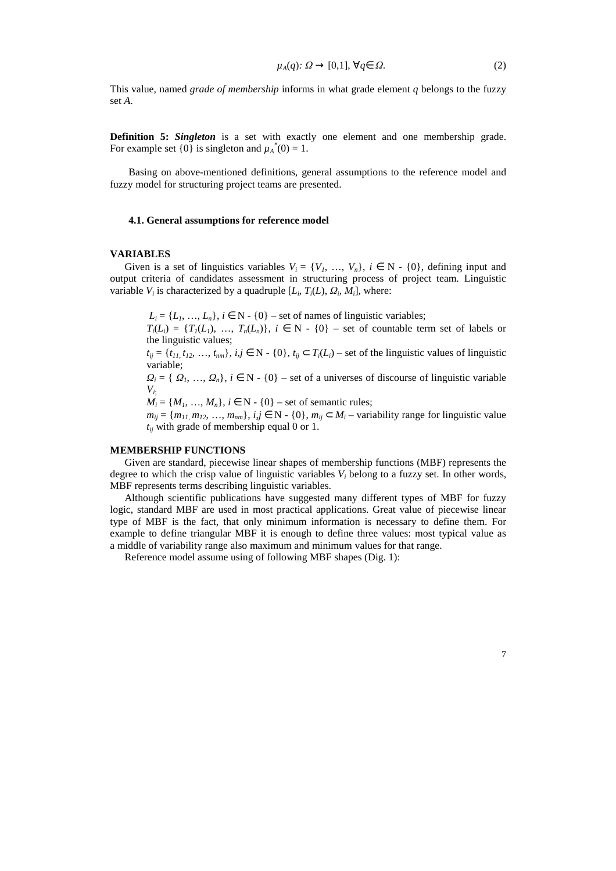$$
\mu_A(q) \colon \Omega \to [0,1], \,\forall q \in \Omega. \tag{2}
$$

This value, named *grade of membership* informs in what grade element *q* belongs to the fuzzy set *A*.

**Definition 5:** *Singleton* is a set with exactly one element and one membership grade. For example set  $\{0\}$  is singleton and  $\mu_A^*(0) = 1$ .

Basing on above-mentioned definitions, general assumptions to the reference model and fuzzy model for structuring project teams are presented.

### **4.1. General assumptions for reference model**

### **VARIABLES**

Given is a set of linguistics variables  $V_i = \{V_1, \ldots, V_n\}, i \in \mathbb{N} - \{0\},$  defining input and output criteria of candidates assessment in structuring process of project team. Linguistic variable  $V_i$  is characterized by a quadruple  $[L_i, T_i(L), Q_i, M_i]$ , where:

 $L_i = \{L_1, \ldots, L_n\}, i \in \mathbb{N} \cdot \{0\}$  – set of names of linguistic variables;

 $T_i(L_i) = \{T_i(L_i), \ldots, T_n(L_n)\}, i \in \mathbb{N}$  - {0} – set of countable term set of labels or the linguistic values;

 $t_{ij} = \{t_{11}, t_{12}, \dots, t_{nm}\}, i, j \in \mathbb{N} \setminus \{0\}, t_{ij} \subset T_i(L_i)$  – set of the linguistic values of linguistic variable;

 $Q_i = \{Q_1, ..., Q_n\}, i \in \mathbb{N} \cdot \{0\}$  – set of a universes of discourse of linguistic variable  $V_i$ 

 $M_i = \{M_1, ..., M_n\}, i \in \mathbb{N} \cdot \{0\}$  – set of semantic rules;

*m*<sub>ij</sub> = { $m_{11}$ ,  $m_{12}$ , …,  $m_{nm}$ }, *i,j* ∈ N - {0},  $m_{ij}$  ⊂  $M_i$  – variability range for linguistic value  $t_{ij}$  with grade of membership equal 0 or 1.

### **MEMBERSHIP FUNCTIONS**

Given are standard, piecewise linear shapes of membership functions (MBF) represents the degree to which the crisp value of linguistic variables  $V_i$  belong to a fuzzy set. In other words, MBF represents terms describing linguistic variables.

Although scientific publications have suggested many different types of MBF for fuzzy logic, standard MBF are used in most practical applications. Great value of piecewise linear type of MBF is the fact, that only minimum information is necessary to define them. For example to define triangular MBF it is enough to define three values: most typical value as a middle of variability range also maximum and minimum values for that range.

Reference model assume using of following MBF shapes (Dig. 1):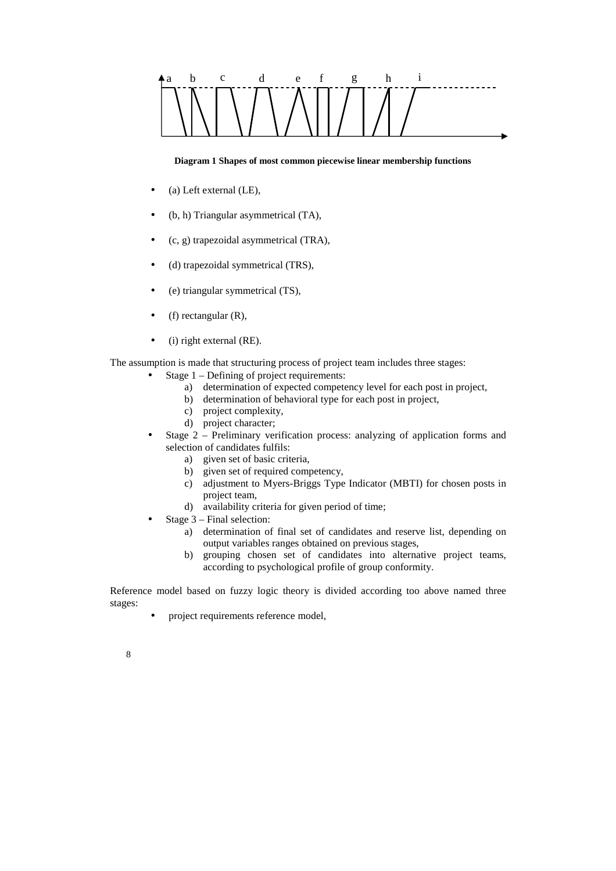

### **Diagram 1 Shapes of most common piecewise linear membership functions**

- (a) Left external (LE),
- (b, h) Triangular asymmetrical (TA),
- (c, g) trapezoidal asymmetrical (TRA),
- (d) trapezoidal symmetrical (TRS),
- (e) triangular symmetrical (TS),
- $\bullet$  (f) rectangular (R),
- $(i)$  right external (RE).

The assumption is made that structuring process of project team includes three stages:

- Stage 1 Defining of project requirements:
	- a) determination of expected competency level for each post in project,
	- b) determination of behavioral type for each post in project,
	- c) project complexity,
	- d) project character;
- Stage 2 Preliminary verification process: analyzing of application forms and selection of candidates fulfils:
	- a) given set of basic criteria,
	- b) given set of required competency,
	- c) adjustment to Myers-Briggs Type Indicator (MBTI) for chosen posts in project team,
	- d) availability criteria for given period of time;
- Stage 3 Final selection:
	- a) determination of final set of candidates and reserve list, depending on output variables ranges obtained on previous stages,
	- b) grouping chosen set of candidates into alternative project teams, according to psychological profile of group conformity.

Reference model based on fuzzy logic theory is divided according too above named three stages:

- project requirements reference model,
- 8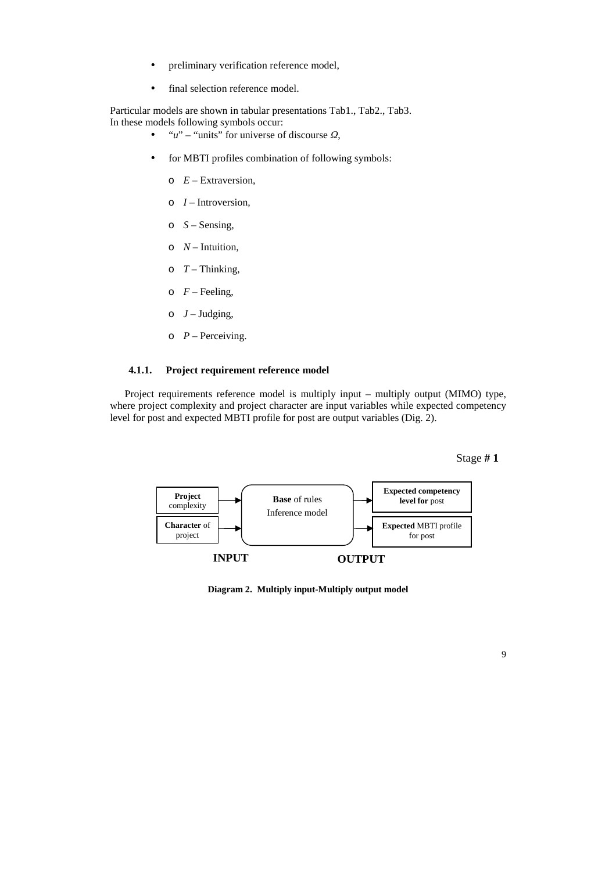- preliminary verification reference model,
- final selection reference model.

Particular models are shown in tabular presentations Tab1., Tab2., Tab3. In these models following symbols occur:

- "*u*" "units" for universe of discourse *Ω*,
- for MBTI profiles combination of following symbols:
	- $\circ$  *E* Extraversion,
	- o *I* Introversion*,*
	- $\circ$  *S* Sensing,
	- $\circ$  *N* Intuition,
	- $\circ$   $T$  Thinking,
	- $\circ$  *F* Feeling,
	- $O$  *J* Judging,
	- $\circ$  *P* Perceiving.

## **4.1.1. Project requirement reference model**

Project requirements reference model is multiply input – multiply output (MIMO) type, where project complexity and project character are input variables while expected competency level for post and expected MBTI profile for post are output variables (Dig. 2).





**Diagram 2. Multiply input-Multiply output model**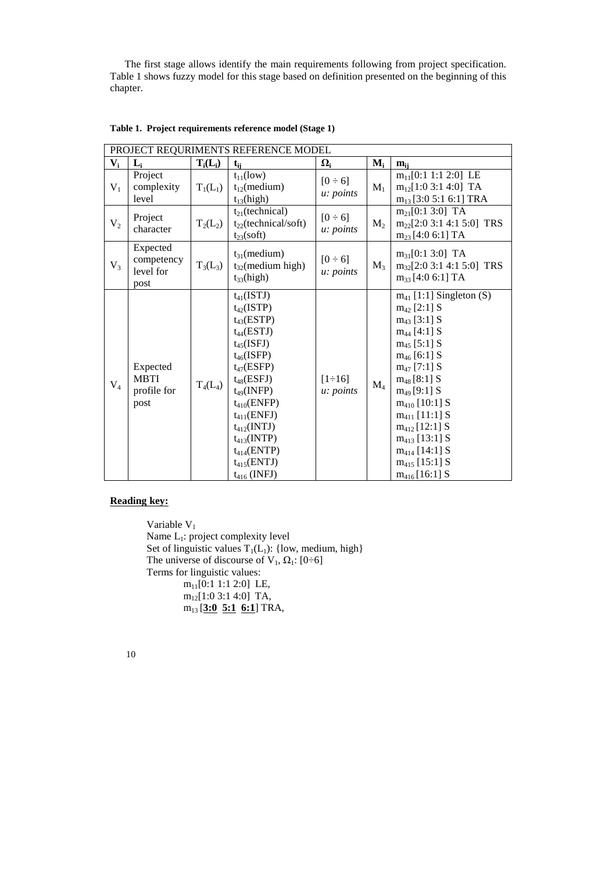The first stage allows identify the main requirements following from project specification. Table 1 shows fuzzy model for this stage based on definition presented on the beginning of this chapter.

|                | PROJECT REQURIMENTS REFERENCE MODEL            |            |                                                                                                                                                                                                                                                                                                                 |                                  |                |                                                                                                                                                                                                                                                                                                                                                        |  |  |  |
|----------------|------------------------------------------------|------------|-----------------------------------------------------------------------------------------------------------------------------------------------------------------------------------------------------------------------------------------------------------------------------------------------------------------|----------------------------------|----------------|--------------------------------------------------------------------------------------------------------------------------------------------------------------------------------------------------------------------------------------------------------------------------------------------------------------------------------------------------------|--|--|--|
| $V_i$          | $L_i$                                          | $T_i(L_i)$ | $t_{ii}$                                                                                                                                                                                                                                                                                                        | $\Omega_i$                       | $M_i$          | $m_{ii}$                                                                                                                                                                                                                                                                                                                                               |  |  |  |
| $V_1$          | Project<br>complexity<br>level                 | $T_1(L_1)$ | $t_{11}$ (low)<br>$t_{12}$ (medium)<br>$t_{13}$ (high)                                                                                                                                                                                                                                                          | $[0 \div 6]$<br>u: points        | $M_1$          | $m_{11}[0:1 1:1 2:0]$ LE<br>$m_{12}[1:0 3:1 4:0]$ TA<br>$m_{13}$ [3:0 5:1 6:1] TRA                                                                                                                                                                                                                                                                     |  |  |  |
| V <sub>2</sub> | Project<br>character                           | $T_2(L_2)$ | $t_{21}$ (technical)<br>$t_{22}$ (technical/soft)<br>$t_{23}$ (soft)                                                                                                                                                                                                                                            | $[0 \div 6]$<br>u: points        | M <sub>2</sub> | $m_{21}[0:1 3:0]$ TA<br>$m_{22}$ [2:0 3:1 4:1 5:0] TRS<br>$m_{23}$ [4:0 6:1] TA                                                                                                                                                                                                                                                                        |  |  |  |
| $V_3$          | Expected<br>competency<br>level for<br>post    | $T_3(L_3)$ | $t_{31}$ (medium)<br>$t_{32}$ (medium high)<br>$t_{33}$ (high)                                                                                                                                                                                                                                                  | $[0 \div 6]$<br><i>u: points</i> | $M_3$          | $m_{31}$ [0:1 3:0] TA<br>$m_{32}[2:0 3:1 4:1 5:0]$ TRS<br>$m_{33}$ [4:0 6:1] TA                                                                                                                                                                                                                                                                        |  |  |  |
| $V_4$          | Expected<br><b>MBTI</b><br>profile for<br>post | $T_4(L_4)$ | $t_{41}$ (ISTJ)<br>$t_{42}$ (ISTP)<br>$t_{43}(ESTP)$<br>$t_{44}(ESTJ)$<br>$t_{45}$ (ISFJ)<br>$t_{46}$ (ISFP)<br>$t_{47}$ (ESFP)<br>$t_{48}$ (ESFJ)<br>$t_{49}$ (INFP)<br>$t_{410}$ (ENFP)<br>$t_{411}$ (ENFJ)<br>$t_{412}$ (INTJ)<br>$t_{413}$ (INTP)<br>$t_{414}(ENTP)$<br>$t_{415}(ENTJ)$<br>$t_{416}$ (INFJ) | $[1 \div 16]$<br>u: points       | $M_4$          | $m_{41}$ [1:1] Singleton (S)<br>$m_{42}$ [2:1] S<br>$m_{43}$ [3:1] S<br>$m_{44}$ [4:1] S<br>$m_{45}$ [5:1] S<br>$m_{46}$ [6:1] S<br>$m_{47}$ [7:1] S<br>$m_{48}$ [8:1] S<br>$m_{49}$ [9:1] S<br>$m_{410}$ [10:1] S<br>$m_{411}$ [11:1] S<br>$m_{412}$ [12:1] S<br>$m_{413}$ [13:1] S<br>$m_{414}$ [14:1] S<br>$m_{415}$ [15:1] S<br>$m_{416}$ [16:1] S |  |  |  |

**Table 1. Project requirements reference model (Stage 1)** 

# **Reading key:**

Variable  $V_1$ Name L<sub>1</sub>: project complexity level Set of linguistic values  $T_1(L_1)$ : {low, medium, high} The universe of discourse of V<sub>1</sub>,  $\Omega_1$ : [0÷6] Terms for linguistic values:  $m_{11}[0:1 1:1 2:0]$  LE, m12[1:0 3:1 4:0] TA, m13 [**3:0 5:1 6:1**] TRA,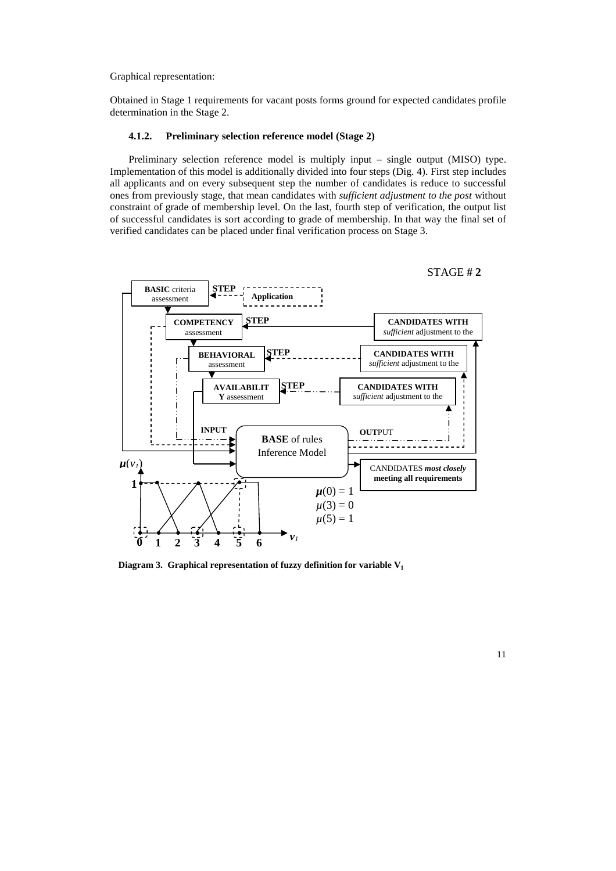Graphical representation:

Obtained in Stage 1 requirements for vacant posts forms ground for expected candidates profile determination in the Stage 2.

### **4.1.2. Preliminary selection reference model (Stage 2)**

Preliminary selection reference model is multiply input – single output (MISO) type. Implementation of this model is additionally divided into four steps (Dig. 4). First step includes all applicants and on every subsequent step the number of candidates is reduce to successful ones from previously stage, that mean candidates with *sufficient adjustment to the post* without constraint of grade of membership level. On the last, fourth step of verification, the output list of successful candidates is sort according to grade of membership. In that way the final set of verified candidates can be placed under final verification process on Stage 3.



**Diagram 3. Graphical representation of fuzzy definition for variable V1**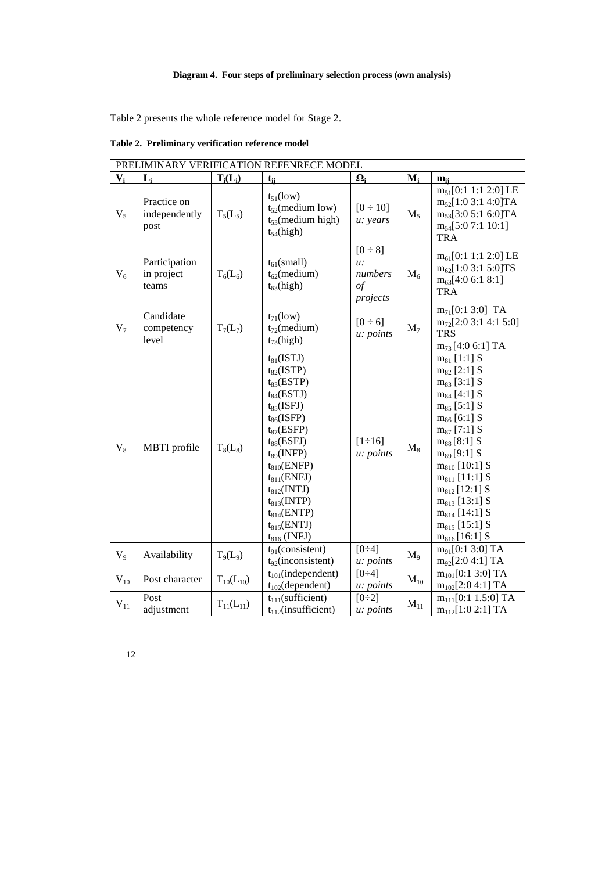# **Diagram 4. Four steps of preliminary selection process (own analysis)**

Table 2 presents the whole reference model for Stage 2.

|                | PRELIMINARY VERIFICATION REFENRECE MODEL |                                  |                                                                                                                                                                                                                                                                                                                |                                                      |          |                                                                                                                                                                                                                                                                                                                                            |  |
|----------------|------------------------------------------|----------------------------------|----------------------------------------------------------------------------------------------------------------------------------------------------------------------------------------------------------------------------------------------------------------------------------------------------------------|------------------------------------------------------|----------|--------------------------------------------------------------------------------------------------------------------------------------------------------------------------------------------------------------------------------------------------------------------------------------------------------------------------------------------|--|
| $V_i$          | $L_i$                                    | $T_i(L_i)$                       | $t_{ii}$                                                                                                                                                                                                                                                                                                       | $\Omega_i$                                           | $M_i$    | $m_{ii}$                                                                                                                                                                                                                                                                                                                                   |  |
| $V_5$          | Practice on<br>independently<br>post     | $T_5(L_5)$                       | $t_{51}$ (low)<br>$t_{52}$ (medium low)<br>$t_{53}$ (medium high)<br>$t_{54}$ (high)                                                                                                                                                                                                                           | $[0 \div 10]$<br>u: years                            | $M_5$    | $m_{51}$ [0:1 1:1 2:0] LE<br>$m_{52}$ [1:0 3:1 4:0]TA<br>$m_{53}$ [3:0 5:1 6:0]TA<br>$m_{54}$ [5:0 7:1 10:1]<br><b>TRA</b>                                                                                                                                                                                                                 |  |
| $V_6$          | Participation<br>in project<br>teams     | $T_6(L_6)$                       | $t_{61}$ (small)<br>$t_{62}$ (medium)<br>$t_{63}$ (high)                                                                                                                                                                                                                                                       | $[0 \div 8]$<br>u:<br>numbers<br>$\iota$<br>projects | $M_6$    | $m_{61}$ [0:1 1:1 2:0] LE<br>$m_{62}$ [1:0 3:1 5:0]TS<br>$m_{63}$ [4:0 6:1 8:1]<br><b>TRA</b>                                                                                                                                                                                                                                              |  |
| V <sub>7</sub> | Candidate<br>competency<br>level         | $T_7(L_7)$                       | $t_{71}$ (low)<br>$t_{72}$ (medium)<br>$t_{73}$ (high)                                                                                                                                                                                                                                                         | $[0 \div 6]$<br>u: points                            | $M_7$    | $m_{71}[0:1 3:0]$ TA<br>$m_{72}[2:0 3:1 4:1 5:0]$<br><b>TRS</b><br>$m_{73}$ [4:0 6:1] TA                                                                                                                                                                                                                                                   |  |
| $V_8$          | <b>MBTI</b> profile                      | $T_8(L_8)$                       | $t_{81}$ (ISTJ)<br>$t_{82}$ (ISTP)<br>$t_{83}(ESTP)$<br>$t_{84}(ESTJ)$<br>$t_{85}$ (ISFJ)<br>$t_{86}$ (ISFP)<br>$t_{87}$ (ESFP)<br>$t_{88}(ESFI)$<br>$t_{89}$ (INFP)<br>$t_{810}$ (ENFP)<br>$t_{811}$ (ENFJ)<br>$t_{812}$ (INTJ)<br>$t_{813}$ (INTP)<br>$t_{814}(ENTP)$<br>$t_{815}(ENTJ)$<br>$t_{816}$ (INFJ) | $[1 \div 16]$<br>u: points                           | $M_8$    | $m_{81}$ [1:1] S<br>$m_{82}$ [2:1] S<br>$m_{83}$ [3:1] S<br>$m_{84}$ [4:1] S<br>$m_{85}$ [5:1] S<br>$m_{86}$ [6:1] S<br>$m_{87}$ [7:1] S<br>$m_{88}$ [8:1] S<br>$m_{89}$ [9:1] S<br>$m_{810}$ [10:1] S<br>$m_{811}$ [11:1] S<br>$m_{812}$ [12:1] S<br>$m_{813}$ [13:1] S<br>$m_{814}$ [14:1] S<br>$m_{815}$ [15:1] S<br>$m_{816}$ [16:1] S |  |
| $V_{9}$        | Availability                             | T <sub>9</sub> (L <sub>9</sub> ) | $t_{91}$ (consistent)<br>$t_{92}$ (inconsistent)                                                                                                                                                                                                                                                               | $\overline{[0-4]}$<br>u: points                      | $M_9$    | $m_{91}$ [0:1 3:0] TA<br>$m_{92}[2:0 4:1] TA$                                                                                                                                                                                                                                                                                              |  |
| $V_{10}$       | Post character                           | $T_{10}(L_{10})$                 | $t_{101}$ (independent)<br>$t_{102}$ (dependent)                                                                                                                                                                                                                                                               | $[0-4]$<br>u: points                                 | $M_{10}$ | $m_{101}$ [0:1 3:0] TA<br>$m_{102}[2:0 4:1] TA$                                                                                                                                                                                                                                                                                            |  |
| $V_{11}$       | Post<br>adjustment                       | $T_{11}(L_{11})$                 | $t_{111}$ (sufficient)<br>$t_{112}$ (insufficient)                                                                                                                                                                                                                                                             | $[0\div 2]$<br>u: points                             | $M_{11}$ | $m_{111}[0:1 1.5:0]$ TA<br>$m_{112}[1:0 2:1]$ TA                                                                                                                                                                                                                                                                                           |  |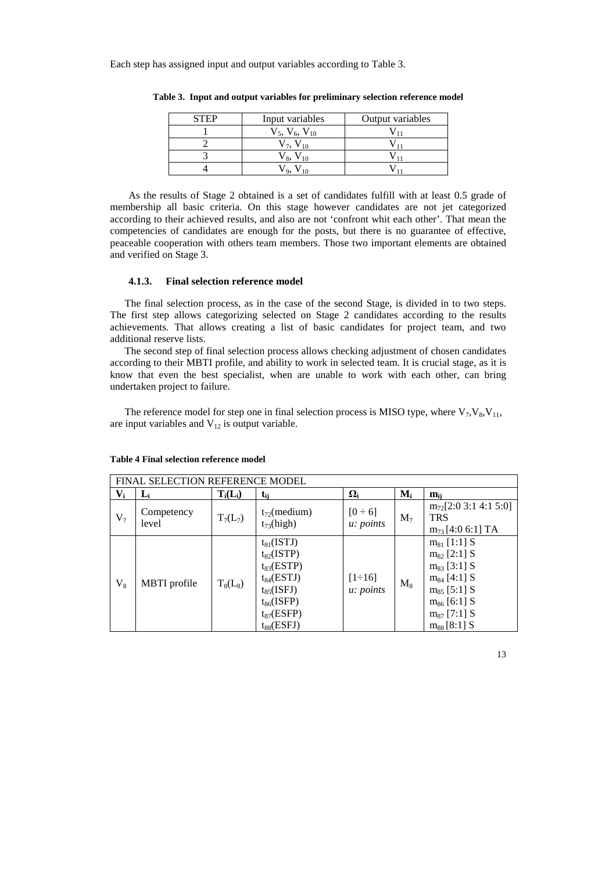Each step has assigned input and output variables according to Table 3.

| Input variables          | Output variables |
|--------------------------|------------------|
| $V_5$ , $V_6$ , $V_{10}$ |                  |
| $V$ 7. $V$ 10            |                  |
| $V_{8}$ , $V_{10}$       |                  |
| ٧ο.                      |                  |

**Table 3. Input and output variables for preliminary selection reference model** 

As the results of Stage 2 obtained is a set of candidates fulfill with at least 0.5 grade of membership all basic criteria. On this stage however candidates are not jet categorized according to their achieved results, and also are not 'confront whit each other'. That mean the competencies of candidates are enough for the posts, but there is no guarantee of effective, peaceable cooperation with others team members. Those two important elements are obtained and verified on Stage 3.

### **4.1.3. Final selection reference model**

The final selection process, as in the case of the second Stage, is divided in to two steps. The first step allows categorizing selected on Stage 2 candidates according to the results achievements. That allows creating a list of basic candidates for project team, and two additional reserve lists.

The second step of final selection process allows checking adjustment of chosen candidates according to their MBTI profile, and ability to work in selected team. It is crucial stage, as it is know that even the best specialist, when are unable to work with each other, can bring undertaken project to failure.

The reference model for step one in final selection process is MISO type, where  $V_7$ ,  $V_8$ ,  $V_{11}$ , are input variables and  $V_{12}$  is output variable.

|       | FINAL SELECTION REFERENCE MODEL |            |                                                                                                                                                    |                                  |                           |                                                                                                                                                              |  |  |
|-------|---------------------------------|------------|----------------------------------------------------------------------------------------------------------------------------------------------------|----------------------------------|---------------------------|--------------------------------------------------------------------------------------------------------------------------------------------------------------|--|--|
| $V_i$ | $L_i$                           | $T_i(L_i)$ | $t_{ii}$                                                                                                                                           | $\Omega_i$                       | $\mathbf{M}_{\mathbf{i}}$ | $m_{ii}$                                                                                                                                                     |  |  |
| $V_7$ | Competency<br>level             | $T_7(L_7)$ | $t_{72}$ (medium)<br>$t_{73}$ (high)                                                                                                               | $[0 \div 6]$<br><i>u: points</i> | $M_7$                     | $m_{72}$ [2:0 3:1 4:1 5:0]<br><b>TRS</b><br>$m_{73}$ [4:0 6:1] TA                                                                                            |  |  |
| $V_8$ | MBTI profile                    | $T_8(L_8)$ | $t_{81}$ (ISTJ)<br>$t_{82}$ (ISTP)<br>$t_{83}(ESTP)$<br>$t_{84}(ESTJ)$<br>$t_{85}$ (ISFJ)<br>$t_{86}$ (ISFP)<br>$t_{87}$ (ESFP)<br>$t_{88}$ (ESFJ) | $[1 \div 16]$<br>u: points       | $M_8$                     | $m_{81}$ [1:1] S<br>$m_{82}$ [2:1] S<br>$m_{83}$ [3:1] S<br>$m_{84}$ [4:1] S<br>$m_{85}$ [5:1] S<br>$m_{86}$ [6:1] S<br>$m_{87}$ [7:1] S<br>$m_{88}$ [8:1] S |  |  |

### **Table 4 Final selection reference model**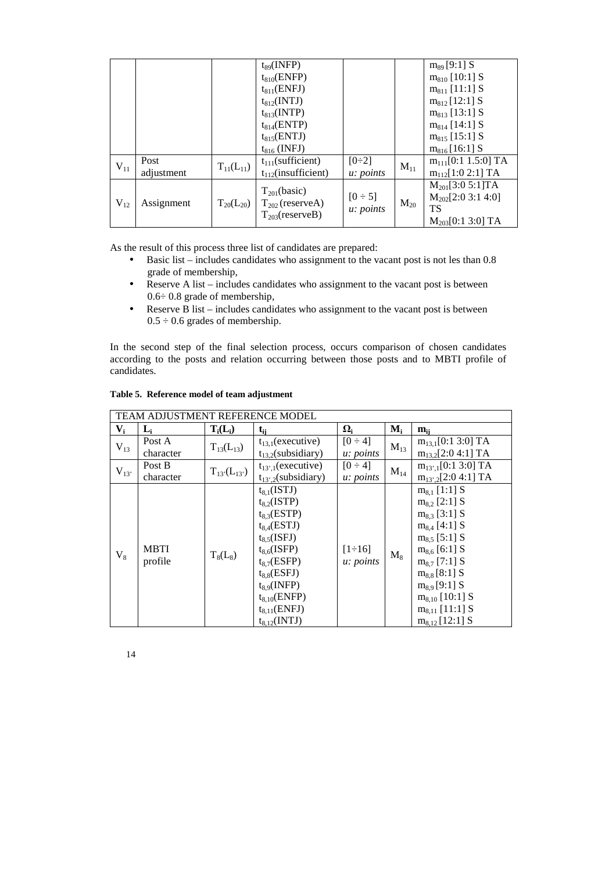|          |                    |                  | $t_{89}$ (INFP)<br>$t_{810}$ (ENFP)<br>$t_{811}$ (ENFJ)<br>$t_{812}$ (INTJ)<br>$t_{813}$ (INTP)<br>$t_{814}(ENTP)$<br>$t_{815}$ (ENTJ)<br>$t_{816}$ (INFJ) |                           |          | $m_{89}$ [9:1] S<br>$m_{810}$ [10:1] S<br>$m_{811}$ [11:1] S<br>$m_{812}$ [12:1] S<br>$m_{813}$ [13:1] S<br>$m_{814}$ [14:1] S<br>$m_{815}$ [15:1] S<br>$m_{816}$ [16:1] S |
|----------|--------------------|------------------|------------------------------------------------------------------------------------------------------------------------------------------------------------|---------------------------|----------|----------------------------------------------------------------------------------------------------------------------------------------------------------------------------|
| $V_{11}$ | Post<br>adjustment | $T_{11}(L_{11})$ | $t_{111}$ (sufficient)<br>$t_{112}$ (insufficient)                                                                                                         | $[0\div 2]$<br>u: points  | $M_{11}$ | $m_{111}[0:1 1.5:0]$ TA<br>$m_{112}$ [1:0 2:1] TA                                                                                                                          |
| $V_{12}$ | Assignment         | $T_{20}(L_{20})$ | $T_{201}$ (basic)<br>$T_{202}$ (reserveA)<br>$T_{203}$ (reserveB)                                                                                          | $[0 \div 5]$<br>u: points | $M_{20}$ | $M_{201}$ [3:0 5:1]TA<br>$M_{202}[2:0 3:1 4:0]$<br>TS<br>$M_{203}$ [0:1 3:0] TA                                                                                            |

As the result of this process three list of candidates are prepared:

- Basic list includes candidates who assignment to the vacant post is not les than 0.8 grade of membership,
- Reserve A list includes candidates who assignment to the vacant post is between 0.6÷ 0.8 grade of membership,
- Reserve B list includes candidates who assignment to the vacant post is between  $0.5 \div 0.6$  grades of membership.

In the second step of the final selection process, occurs comparison of chosen candidates according to the posts and relation occurring between those posts and to MBTI profile of candidates.

| TEAM ADJUSTMENT REFERENCE MODEL |                |                  |                          |                         |          |                         |  |
|---------------------------------|----------------|------------------|--------------------------|-------------------------|----------|-------------------------|--|
| $V_i$                           | L <sub>i</sub> | $T_i(L_i)$       | t <sub>ii</sub>          | $\boldsymbol{\Omega}_i$ | $M_i$    | $m_{ii}$                |  |
| $V_{13}$                        | Post A         | $T_{13}(L_{13})$ | $t_{13.1}$ (executive)   | $[0 \div 4]$            | $M_{13}$ | $m_{13,1}[0:1 3:0]$ TA  |  |
|                                 | character      |                  | $t_{13.2}$ (subsidiary)  | <i>u: points</i>        |          | $m_{13,2}[2:0 4:1] TA$  |  |
| $V_{13}$                        | Post B         | $T_{13}(L_{13})$ | $t_{13',1}$ (executive)  | $[0 \div 4]$            | $M_{14}$ | $m_{13',1}[0:1 3:0]$ TA |  |
|                                 | character      |                  | $t_{13',2}$ (subsidiary) | u: points               |          | $m_{13',2}[2:0 4:1]$ TA |  |
|                                 |                |                  | $t_{8.1}$ (ISTJ)         |                         |          | $m_{8.1}$ [1:1] S       |  |
|                                 |                |                  | $t_{8.2}$ (ISTP)         |                         |          | $m_{8,2}$ [2:1] S       |  |
|                                 |                |                  | $t_{8,3}(ESTP)$          |                         |          | $m_{8,3}$ [3:1] S       |  |
|                                 |                |                  | $t_{8.4}$ (ESTJ)         |                         |          | $m_{8,4}$ [4:1] S       |  |
|                                 |                |                  | $t_{8.5}$ (ISFJ)         |                         |          | $m_{8.5}$ [5:1] S       |  |
| $V_8$                           | <b>MBTI</b>    | $T_8(L_8)$       | $t_{8.6}$ (ISFP)         | $[1 \div 16]$           | $M_{8}$  | $m_{8.6}$ [6:1] S       |  |
|                                 | profile        |                  | $t_{8.7}$ (ESFP)         | u: points               |          | $m_{8.7}$ [7:1] S       |  |
|                                 |                |                  | $t_{8.8}$ (ESFJ)         |                         |          | $m_{8.8}$ [8:1] S       |  |
|                                 |                |                  | $t_{8.9}$ (INFP)         |                         |          | $m_{8.9}$ [9:1] S       |  |
|                                 |                |                  | $t_{8,10}(ENFP)$         |                         |          | $m_{8,10}$ [10:1] S     |  |
|                                 |                |                  | $t_{8,11}(ENFI)$         |                         |          | $m_{8,11}$ [11:1] S     |  |
|                                 |                |                  | $t_{8,12}$ (INTJ)        |                         |          | $m_{8,12}$ [12:1] S     |  |

### **Table 5. Reference model of team adjustment**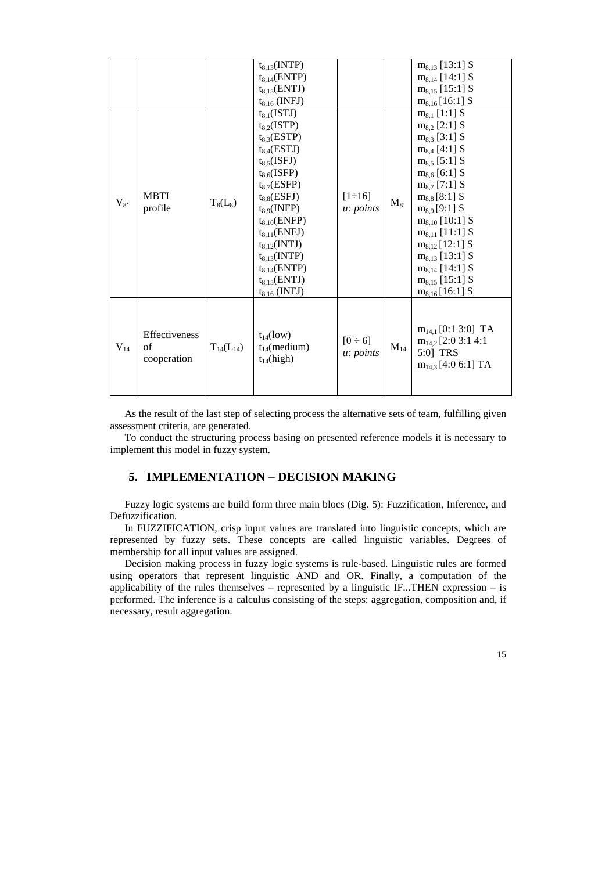|          |               |                  | $t_{8,13}$ (INTP) |                            |          | $m_{8,13}$ [13:1] S     |
|----------|---------------|------------------|-------------------|----------------------------|----------|-------------------------|
|          |               |                  | $t_{8,14}(ENTP)$  |                            |          | $m_{8,14}$ [14:1] S     |
|          |               |                  | $t_{8,15}(ENTJ)$  |                            |          | $m_{8.15}$ [15:1] S     |
|          |               |                  | $t_{8,16}$ (INFJ) |                            |          | $m_{8,16}$ [16:1] S     |
|          |               |                  | $t_{8.1}$ (ISTJ)  |                            |          | $m_{8,1}$ [1:1] S       |
|          |               |                  | $t_{8,2}$ (ISTP)  |                            |          | $m_{8,2}$ [2:1] S       |
|          |               |                  | $t_{8,3}$ (ESTP)  |                            |          | $m_{8,3}$ [3:1] S       |
|          |               |                  | $t_{8.4}$ (ESTJ)  |                            |          | $m_{8,4}$ [4:1] S       |
|          |               |                  | $t_{8.5}$ (ISFJ)  |                            |          | $m_{8,5}$ [5:1] S       |
|          |               |                  | $t_{8,6}$ (ISFP)  |                            |          | $m_{8,6}$ [6:1] S       |
|          |               |                  | $t_{8.7}$ (ESFP)  | $[1 \div 16]$<br>u: points | $M_{8}$  | $m_{8,7}$ [7:1] S       |
|          | <b>MBTI</b>   | $T_8(L_8)$       | $t_{8.8}$ (ESFJ)  |                            |          | $m_{8,8}$ [8:1] S       |
| $V_{8}$  | profile       |                  | $t_{8,9}$ (INFP)  |                            |          | $m_{8.9}$ [9:1] S       |
|          |               |                  | $t_{8,10}$ (ENFP) |                            |          | $m_{8,10}$ [10:1] S     |
|          |               |                  | $t_{8,11}(ENFI)$  |                            |          | $m_{8.11}$ [11:1] S     |
|          |               |                  | $t_{8.12}$ (INTJ) |                            |          | $m_{8,12}$ [12:1] S     |
|          |               |                  | $t_{8,13}(INTP)$  |                            |          | $m_{8,13}$ [13:1] S     |
|          |               |                  | $t_{8,14}(ENTP)$  |                            |          | $m_{8,14}$ [14:1] S     |
|          |               |                  | $t_{8,15}(ENTJ)$  |                            |          | $m_{8,15}$ [15:1] S     |
|          |               |                  | $t_{8,16}$ (INFJ) |                            |          | $m_{8,16}$ [16:1] S     |
|          |               |                  |                   |                            |          |                         |
|          |               |                  |                   |                            |          |                         |
|          |               |                  |                   |                            |          | $m_{14,1}$ [0:1 3:0] TA |
|          | Effectiveness |                  | $t_{14}$ (low)    | $[0 \div 6]$               |          | $m_{14,2}$ [2:0 3:1 4:1 |
| $V_{14}$ | of            | $T_{14}(L_{14})$ | $t_{14}$ (medium) |                            | $M_{14}$ | 5:0] TRS                |
|          | cooperation   |                  | $t_{14}$ (high)   | <i>u: points</i>           |          |                         |
|          |               |                  |                   |                            |          | $m_{14,3}$ [4:0 6:1] TA |
|          |               |                  |                   |                            |          |                         |
|          |               |                  |                   |                            |          |                         |

As the result of the last step of selecting process the alternative sets of team, fulfilling given assessment criteria, are generated.

To conduct the structuring process basing on presented reference models it is necessary to implement this model in fuzzy system.

# **5. IMPLEMENTATION – DECISION MAKING**

Fuzzy logic systems are build form three main blocs (Dig. 5): Fuzzification, Inference, and Defuzzification.

In FUZZIFICATION, crisp input values are translated into linguistic concepts, which are represented by fuzzy sets. These concepts are called linguistic variables. Degrees of membership for all input values are assigned.

Decision making process in fuzzy logic systems is rule-based. Linguistic rules are formed using operators that represent linguistic AND and OR. Finally, a computation of the applicability of the rules themselves – represented by a linguistic IF...THEN expression – is performed. The inference is a calculus consisting of the steps: aggregation, composition and, if necessary, result aggregation.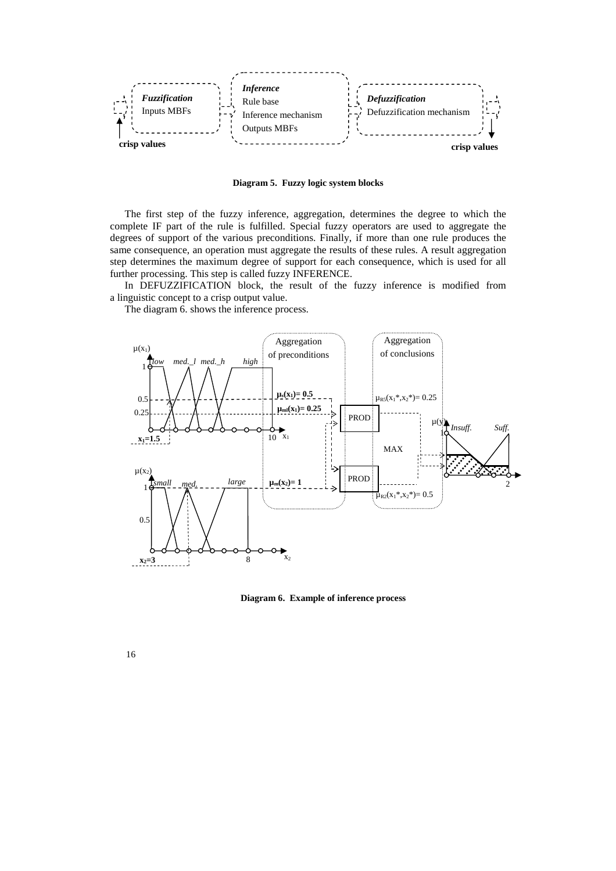

**Diagram 5. Fuzzy logic system blocks**

The first step of the fuzzy inference, aggregation, determines the degree to which the complete IF part of the rule is fulfilled. Special fuzzy operators are used to aggregate the degrees of support of the various preconditions. Finally, if more than one rule produces the same consequence, an operation must aggregate the results of these rules. A result aggregation step determines the maximum degree of support for each consequence, which is used for all further processing. This step is called fuzzy INFERENCE.

In DEFUZZIFICATION block, the result of the fuzzy inference is modified from a linguistic concept to a crisp output value.

The diagram 6. shows the inference process.



**Diagram 6. Example of inference process**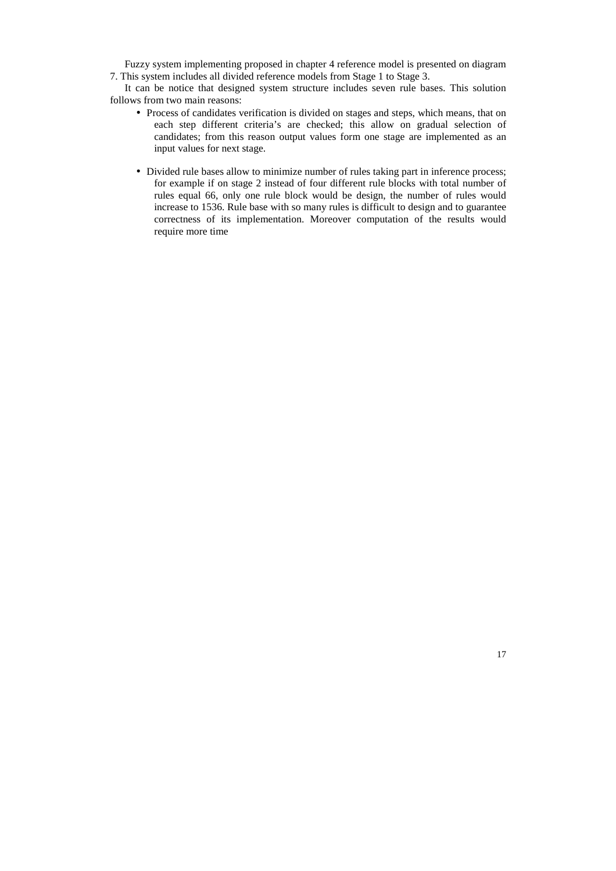Fuzzy system implementing proposed in chapter 4 reference model is presented on diagram 7. This system includes all divided reference models from Stage 1 to Stage 3.

It can be notice that designed system structure includes seven rule bases. This solution follows from two main reasons:

- Process of candidates verification is divided on stages and steps, which means, that on each step different criteria's are checked; this allow on gradual selection of candidates; from this reason output values form one stage are implemented as an input values for next stage.
- Divided rule bases allow to minimize number of rules taking part in inference process; for example if on stage 2 instead of four different rule blocks with total number of rules equal 66, only one rule block would be design, the number of rules would increase to 1536. Rule base with so many rules is difficult to design and to guarantee correctness of its implementation. Moreover computation of the results would require more time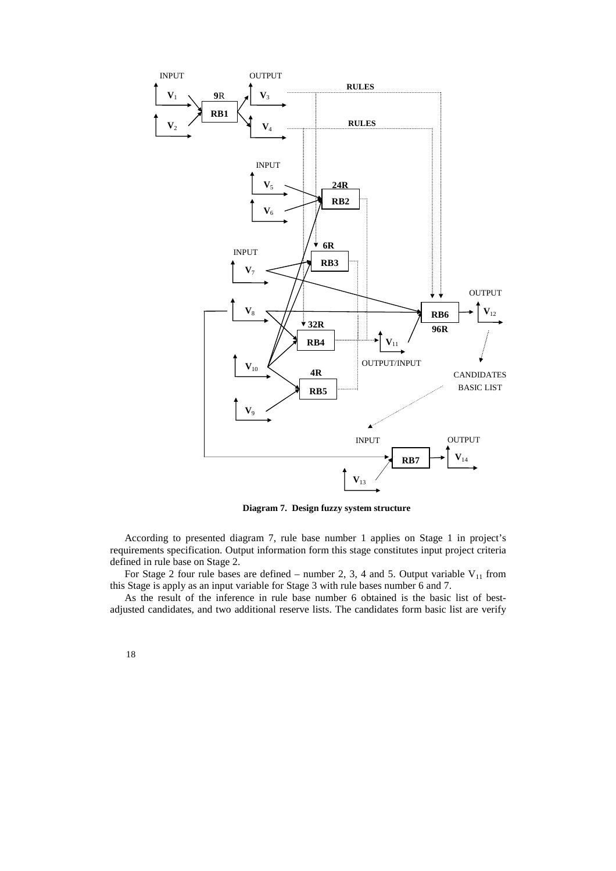

**Diagram 7. Design fuzzy system structure**

According to presented diagram 7, rule base number 1 applies on Stage 1 in project's requirements specification. Output information form this stage constitutes input project criteria defined in rule base on Stage 2.

For Stage 2 four rule bases are defined – number 2, 3, 4 and 5. Output variable  $V_{11}$  from this Stage is apply as an input variable for Stage 3 with rule bases number 6 and 7.

As the result of the inference in rule base number 6 obtained is the basic list of bestadjusted candidates, and two additional reserve lists. The candidates form basic list are verify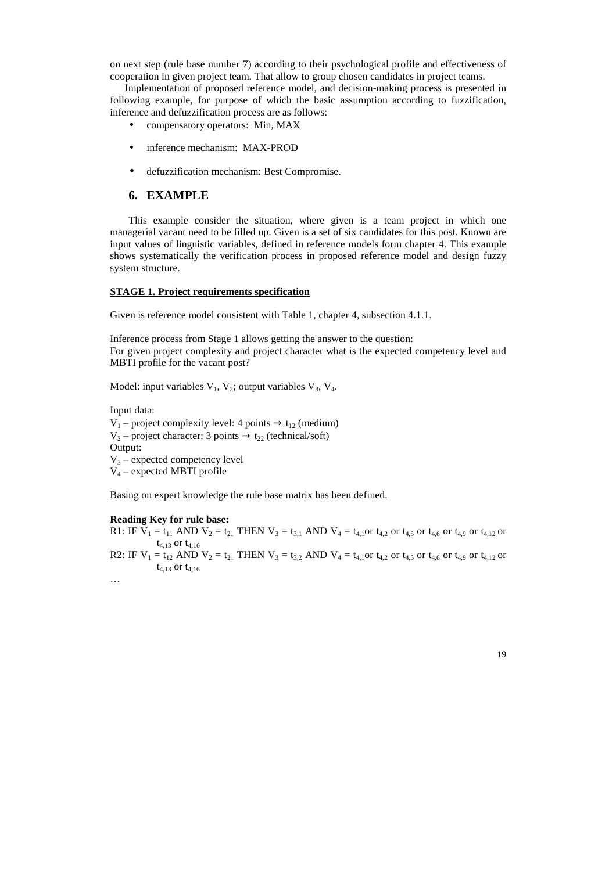on next step (rule base number 7) according to their psychological profile and effectiveness of cooperation in given project team. That allow to group chosen candidates in project teams.

Implementation of proposed reference model, and decision-making process is presented in following example, for purpose of which the basic assumption according to fuzzification, inference and defuzzification process are as follows:

- compensatory operators: Min, MAX
- inference mechanism: MAX-PROD
- defuzzification mechanism: Best Compromise.

### **6. EXAMPLE**

This example consider the situation, where given is a team project in which one managerial vacant need to be filled up. Given is a set of six candidates for this post. Known are input values of linguistic variables, defined in reference models form chapter 4. This example shows systematically the verification process in proposed reference model and design fuzzy system structure.

### **STAGE 1. Project requirements specification**

Given is reference model consistent with Table 1, chapter 4, subsection 4.1.1.

Inference process from Stage 1 allows getting the answer to the question: For given project complexity and project character what is the expected competency level and MBTI profile for the vacant post?

Model: input variables  $V_1$ ,  $V_2$ ; output variables  $V_3$ ,  $V_4$ .

Input data:  $V_1$  – project complexity level: 4 points  $\rightarrow$  t<sub>12</sub> (medium)  $V_2$  – project character: 3 points  $\rightarrow$  t<sub>22</sub> (technical/soft) Output:  $V_3$  – expected competency level V4 – expected MBTI profile

Basing on expert knowledge the rule base matrix has been defined.

#### **Reading Key for rule base:**

 $t_{4,13}$  or  $t_{4,16}$ 

R1: IF  $V_1 = t_{11}$  AND  $V_2 = t_{21}$  THEN  $V_3 = t_{3,1}$  AND  $V_4 = t_{4,1}$ or  $t_{4,2}$  or  $t_{4,6}$  or  $t_{4,9}$  or  $t_{4,12}$  or  $t_{4,13}$  or  $t_{4,16}$ R2: IF  $V_1 = t_{12}$  AND  $V_2 = t_{21}$  THEN  $V_3 = t_{3,2}$  AND  $V_4 = t_{4,1}$ or  $t_{4,2}$  or  $t_{4,6}$  or  $t_{4,9}$  or  $t_{4,12}$  or

…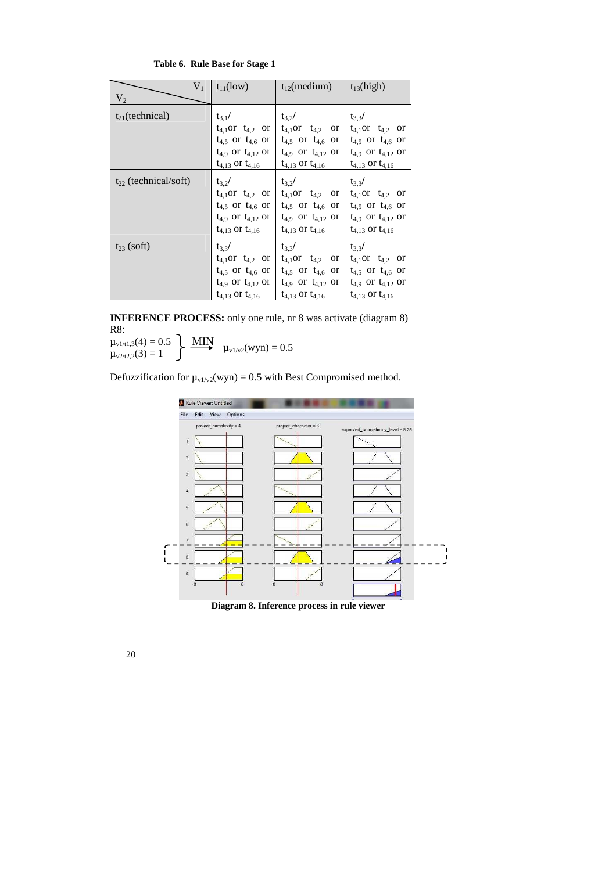| $V_1$                     | $t_{11}$ (low)             | $t_{12}$ (medium)            | $t_{13}$ (high)            |
|---------------------------|----------------------------|------------------------------|----------------------------|
| V <sub>2</sub>            |                            |                              |                            |
| $t_{21}$ (technical)      | $t_{3.1}$ /                | $t_{3.2}$ /                  | $t_{3,3}/$                 |
|                           | $t_{4,1}$ or $t_{4,2}$ or  | $t_{4,1}$ or $t_{4,2}$<br>or | $t_{4,1}$ or $t_{4,2}$ or  |
|                           | $t_{4,5}$ or $t_{4,6}$ or  | $t_{4,5}$ or $t_{4,6}$ or    | $t_{4,5}$ or $t_{4,6}$ or  |
|                           | $t_{4.9}$ or $t_{4,12}$ or | $t_{4,9}$ or $t_{4,12}$ or   | $t_{4,9}$ or $t_{4,12}$ or |
|                           | $t_{4,13}$ or $t_{4,16}$   | $t_{4,13}$ or $t_{4,16}$     | $t_{4,13}$ or $t_{4,16}$   |
| $t_{22}$ (technical/soft) | $t_{3,2}$ /                | $t_{3.2}$ /                  | $t_{3,3}/$                 |
|                           | $t_{4,1}$ or $t_{4,2}$ or  | $t_{4,1}$ or $t_{4,2}$<br>or | $t_{4,1}$ or $t_{4,2}$ or  |
|                           | $t_{4,5}$ or $t_{4,6}$ or  | $t_{4,5}$ or $t_{4,6}$ or    | $t_{4,5}$ or $t_{4,6}$ or  |
|                           | $t_{4.9}$ or $t_{4,12}$ or | $t_{4,9}$ or $t_{4,12}$ or   | $t_{4,9}$ or $t_{4,12}$ or |
|                           | $t_{4,13}$ or $t_{4,16}$   | $t_{4,13}$ or $t_{4,16}$     | $t_{4,13}$ or $t_{4,16}$   |
| $t_{23}$ (soft)           | $t_3$ <sub>3</sub> /       | $t_{3,3}/$                   | $t_{3,3}/$                 |
|                           | $t_{4,1}$ or $t_{4,2}$ or  | $t_{4,1}$ or $t_{4,2}$ or    | $t_{4,1}$ or $t_{4,2}$ or  |
|                           | $t_{4,5}$ or $t_{4,6}$ or  | $t_{4,5}$ or $t_{4,6}$ or    | $t_{4,5}$ or $t_{4,6}$ or  |
|                           | $t_{4,9}$ or $t_{4,12}$ or | $t_{4,9}$ or $t_{4,12}$ or   | $t_{4,9}$ or $t_{4,12}$ or |
|                           | $t_{4,13}$ or $t_{4,16}$   | $t_{4,13}$ or $t_{4,16}$     | $t_{4,13}$ or $t_{4,16}$   |

 **Table 6. Rule Base for Stage 1** 

**INFERENCE PROCESS:** only one rule, nr 8 was activate (diagram 8) R8:

 $\mu_{\text{v1/t1,3}}(4) = 0.5$  $\mu_{v2/t2,2}(3) = 1$ **MIN**  $\mu_{\text{v1/v2}}(wyn) = 0.5$ 

Defuzzification for  $\mu_{v1/v2}(wyn) = 0.5$  with Best Compromised method.



**Diagram 8. Inference process in rule viewer**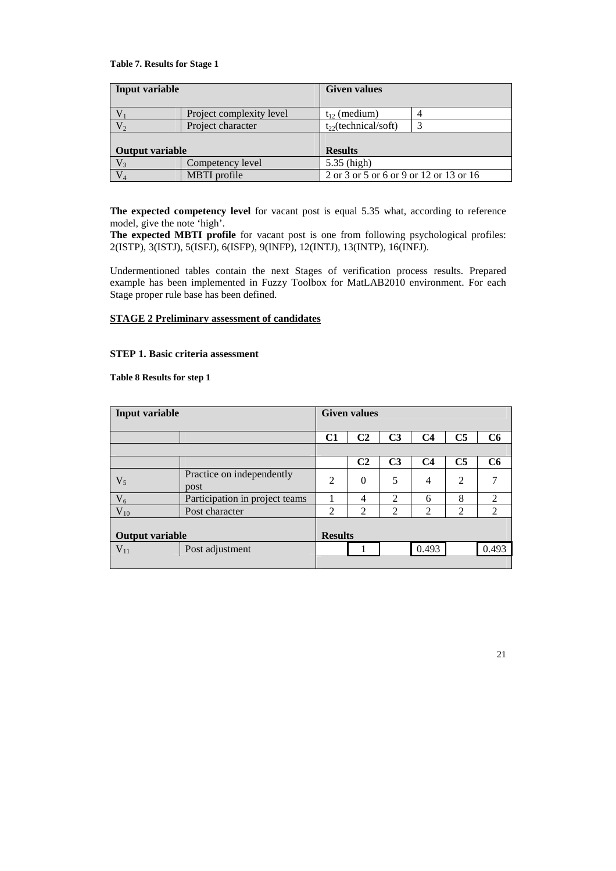### **Table 7. Results for Stage 1**

| Input variable         |                          | <b>Given values</b>                     |  |  |  |  |
|------------------------|--------------------------|-----------------------------------------|--|--|--|--|
|                        | Project complexity level | $t_{12}$ (medium)                       |  |  |  |  |
|                        | Project character        | $t_{22}$ (technical/soft)               |  |  |  |  |
| <b>Output variable</b> |                          | <b>Results</b>                          |  |  |  |  |
| $V_3$                  | Competency level         | 5.35 (high)                             |  |  |  |  |
| $\rm V_4$              | MBTI profile             | 2 or 3 or 5 or 6 or 9 or 12 or 13 or 16 |  |  |  |  |

**The expected competency level** for vacant post is equal 5.35 what, according to reference model, give the note 'high'.

**The expected MBTI profile** for vacant post is one from following psychological profiles: 2(ISTP), 3(ISTJ), 5(ISFJ), 6(ISFP), 9(INFP), 12(INTJ), 13(INTP), 16(INFJ).

Undermentioned tables contain the next Stages of verification process results. Prepared example has been implemented in Fuzzy Toolbox for MatLAB2010 environment. For each Stage proper rule base has been defined.

## **STAGE 2 Preliminary assessment of candidates**

### **STEP 1. Basic criteria assessment**

### **Table 8 Results for step 1**

| <b>Input variable</b>  |                                   |                | <b>Given values</b> |                |                |                |                |  |  |
|------------------------|-----------------------------------|----------------|---------------------|----------------|----------------|----------------|----------------|--|--|
|                        |                                   |                |                     |                |                |                |                |  |  |
|                        |                                   | C1             | C <sub>2</sub>      | C <sub>3</sub> | C <sub>4</sub> | C <sub>5</sub> | C6             |  |  |
|                        |                                   |                |                     |                |                |                |                |  |  |
|                        |                                   |                | C <sub>2</sub>      | C <sub>3</sub> | C <sub>4</sub> | C <sub>5</sub> | C6             |  |  |
| $V_5$                  | Practice on independently<br>post | $\overline{2}$ | $\Omega$            | 5              | $\overline{4}$ | 2              | 7              |  |  |
| $V_6$                  | Participation in project teams    |                | 4                   | $\mathcal{L}$  | 6              | 8              | $\overline{2}$ |  |  |
| $V_{10}$               | Post character                    | 2              | 2                   | 2              | 2              | $\overline{c}$ | 2              |  |  |
| <b>Output variable</b> |                                   |                | <b>Results</b>      |                |                |                |                |  |  |
| $V_{11}$               | Post adjustment                   |                |                     |                | 0.493          |                | 0.493          |  |  |
|                        |                                   |                |                     |                |                |                |                |  |  |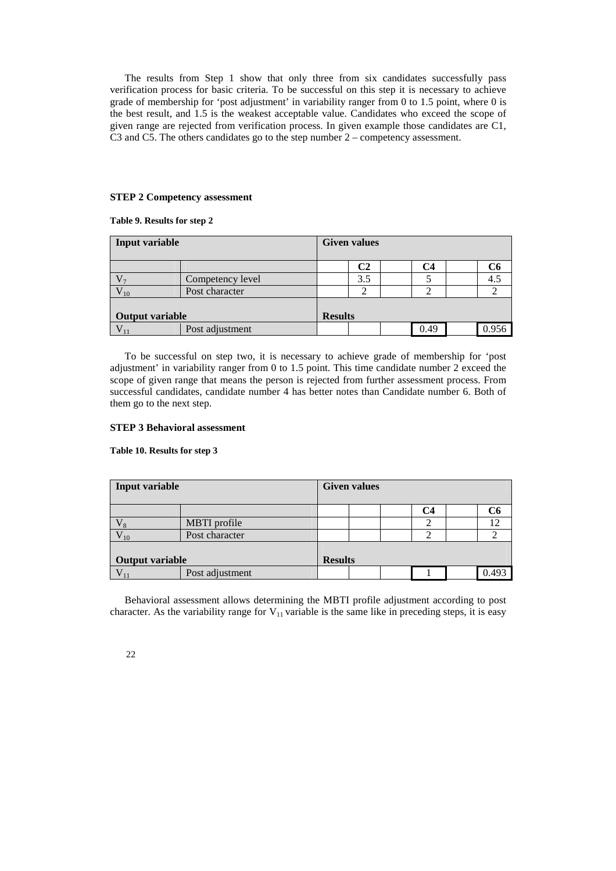The results from Step 1 show that only three from six candidates successfully pass verification process for basic criteria. To be successful on this step it is necessary to achieve grade of membership for 'post adjustment' in variability ranger from 0 to 1.5 point, where 0 is the best result, and 1.5 is the weakest acceptable value. Candidates who exceed the scope of given range are rejected from verification process. In given example those candidates are C1, C3 and C5. The others candidates go to the step number 2 – competency assessment.

### **STEP 2 Competency assessment**

**Table 9. Results for step 2** 

| Input variable         |                  | <b>Given values</b> |              |  |      |  |       |  |  |
|------------------------|------------------|---------------------|--------------|--|------|--|-------|--|--|
|                        |                  |                     | $\mathbb C2$ |  | C4   |  | C6    |  |  |
|                        | Competency level |                     | 3.5          |  |      |  | 4.5   |  |  |
| '10                    | Post character   |                     |              |  |      |  |       |  |  |
| <b>Output variable</b> |                  | <b>Results</b>      |              |  |      |  |       |  |  |
|                        | Post adjustment  |                     |              |  | 0.49 |  | 0.956 |  |  |

To be successful on step two, it is necessary to achieve grade of membership for 'post adjustment' in variability ranger from 0 to 1.5 point. This time candidate number 2 exceed the scope of given range that means the person is rejected from further assessment process. From successful candidates, candidate number 4 has better notes than Candidate number 6. Both of them go to the next step.

### **STEP 3 Behavioral assessment**

### **Table 10. Results for step 3**

| <b>Input variable</b>  |                 | <b>Given values</b> |  |  |    |  |       |  |  |
|------------------------|-----------------|---------------------|--|--|----|--|-------|--|--|
|                        |                 |                     |  |  | C4 |  | C6    |  |  |
| V x                    | MBTI profile    |                     |  |  |    |  | 12    |  |  |
| ${\rm V}_{10}$         | Post character  |                     |  |  |    |  |       |  |  |
| <b>Output variable</b> |                 | <b>Results</b>      |  |  |    |  |       |  |  |
|                        | Post adjustment |                     |  |  |    |  | ገ 493 |  |  |

Behavioral assessment allows determining the MBTI profile adjustment according to post character. As the variability range for  $V_{11}$  variable is the same like in preceding steps, it is easy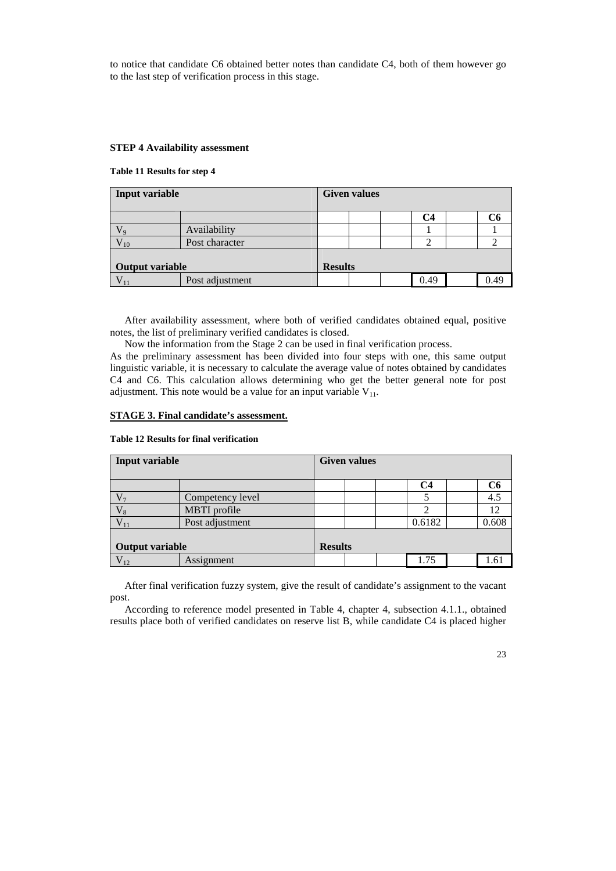to notice that candidate C6 obtained better notes than candidate C4, both of them however go to the last step of verification process in this stage.

### **STEP 4 Availability assessment**

### **Table 11 Results for step 4**

| Input variable         |                 | <b>Given values</b> |  |  |      |  |      |  |  |
|------------------------|-----------------|---------------------|--|--|------|--|------|--|--|
|                        |                 |                     |  |  | C4   |  | Cб   |  |  |
|                        | Availability    |                     |  |  |      |  |      |  |  |
| 10                     | Post character  |                     |  |  | ◠    |  |      |  |  |
| <b>Output variable</b> |                 | <b>Results</b>      |  |  |      |  |      |  |  |
|                        | Post adjustment |                     |  |  | 0.49 |  | 0.49 |  |  |

After availability assessment, where both of verified candidates obtained equal, positive notes, the list of preliminary verified candidates is closed.

Now the information from the Stage 2 can be used in final verification process.

As the preliminary assessment has been divided into four steps with one, this same output linguistic variable, it is necessary to calculate the average value of notes obtained by candidates C4 and C6. This calculation allows determining who get the better general note for post adjustment. This note would be a value for an input variable  $V_{11}$ .

### **STAGE 3. Final candidate's assessment.**

## **Table 12 Results for final verification**

| Input variable         |                  | <b>Given values</b> |  |  |        |  |       |  |  |
|------------------------|------------------|---------------------|--|--|--------|--|-------|--|--|
|                        |                  |                     |  |  |        |  |       |  |  |
|                        |                  |                     |  |  | C4     |  | C6    |  |  |
| $V_{\gamma}$           | Competency level |                     |  |  |        |  | 4.5   |  |  |
|                        | MBTI profile     |                     |  |  |        |  | 12    |  |  |
|                        | Post adjustment  |                     |  |  | 0.6182 |  | 0.608 |  |  |
|                        |                  |                     |  |  |        |  |       |  |  |
| <b>Output variable</b> |                  | <b>Results</b>      |  |  |        |  |       |  |  |
|                        | Assignment       |                     |  |  | 1.75   |  | 1.61  |  |  |

After final verification fuzzy system, give the result of candidate's assignment to the vacant post.

According to reference model presented in Table 4, chapter 4, subsection 4.1.1., obtained results place both of verified candidates on reserve list B, while candidate C4 is placed higher